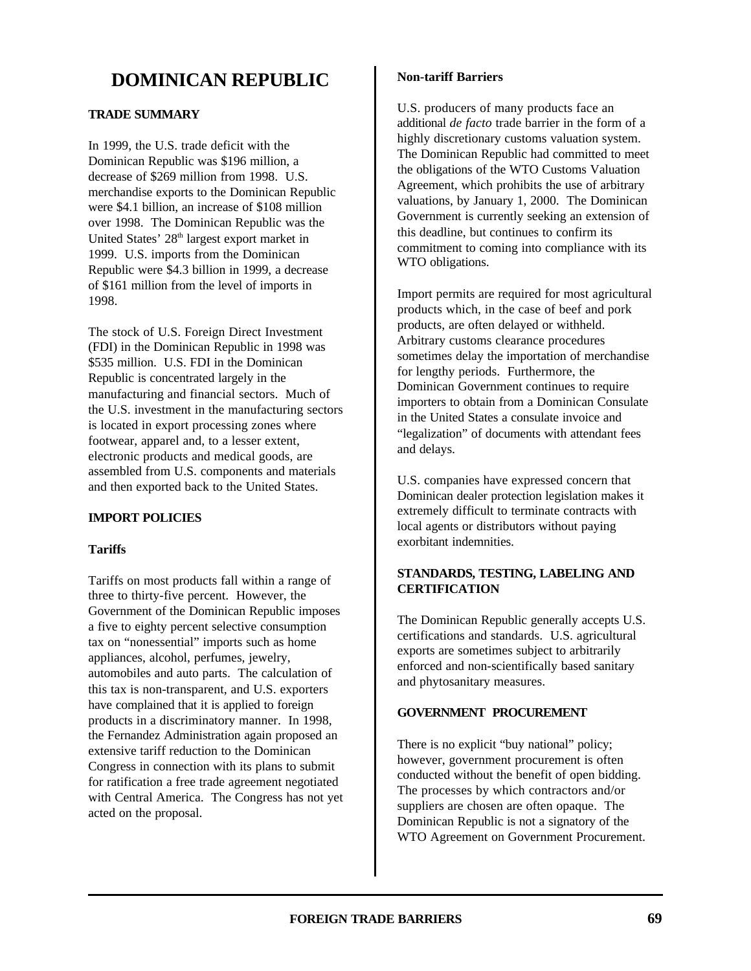# **DOMINICAN REPUBLIC**

# **TRADE SUMMARY**

In 1999, the U.S. trade deficit with the Dominican Republic was \$196 million, a decrease of \$269 million from 1998. U.S. merchandise exports to the Dominican Republic were \$4.1 billion, an increase of \$108 million over 1998. The Dominican Republic was the United States' 28<sup>th</sup> largest export market in 1999. U.S. imports from the Dominican Republic were \$4.3 billion in 1999, a decrease of \$161 million from the level of imports in 1998.

The stock of U.S. Foreign Direct Investment (FDI) in the Dominican Republic in 1998 was \$535 million. U.S. FDI in the Dominican Republic is concentrated largely in the manufacturing and financial sectors. Much of the U.S. investment in the manufacturing sectors is located in export processing zones where footwear, apparel and, to a lesser extent, electronic products and medical goods, are assembled from U.S. components and materials and then exported back to the United States.

# **IMPORT POLICIES**

# **Tariffs**

Tariffs on most products fall within a range of three to thirty-five percent. However, the Government of the Dominican Republic imposes a five to eighty percent selective consumption tax on "nonessential" imports such as home appliances, alcohol, perfumes, jewelry, automobiles and auto parts. The calculation of this tax is non-transparent, and U.S. exporters have complained that it is applied to foreign products in a discriminatory manner. In 1998, the Fernandez Administration again proposed an extensive tariff reduction to the Dominican Congress in connection with its plans to submit for ratification a free trade agreement negotiated with Central America. The Congress has not yet acted on the proposal.

#### **Non-tariff Barriers**

U.S. producers of many products face an additional *de facto* trade barrier in the form of a highly discretionary customs valuation system. The Dominican Republic had committed to meet the obligations of the WTO Customs Valuation Agreement, which prohibits the use of arbitrary valuations, by January 1, 2000. The Dominican Government is currently seeking an extension of this deadline, but continues to confirm its commitment to coming into compliance with its WTO obligations.

Import permits are required for most agricultural products which, in the case of beef and pork products, are often delayed or withheld. Arbitrary customs clearance procedures sometimes delay the importation of merchandise for lengthy periods. Furthermore, the Dominican Government continues to require importers to obtain from a Dominican Consulate in the United States a consulate invoice and "legalization" of documents with attendant fees and delays.

U.S. companies have expressed concern that Dominican dealer protection legislation makes it extremely difficult to terminate contracts with local agents or distributors without paying exorbitant indemnities.

# **STANDARDS, TESTING, LABELING AND CERTIFICATION**

The Dominican Republic generally accepts U.S. certifications and standards. U.S. agricultural exports are sometimes subject to arbitrarily enforced and non-scientifically based sanitary and phytosanitary measures.

# **GOVERNMENT PROCUREMENT**

There is no explicit "buy national" policy: however, government procurement is often conducted without the benefit of open bidding. The processes by which contractors and/or suppliers are chosen are often opaque. The Dominican Republic is not a signatory of the WTO Agreement on Government Procurement.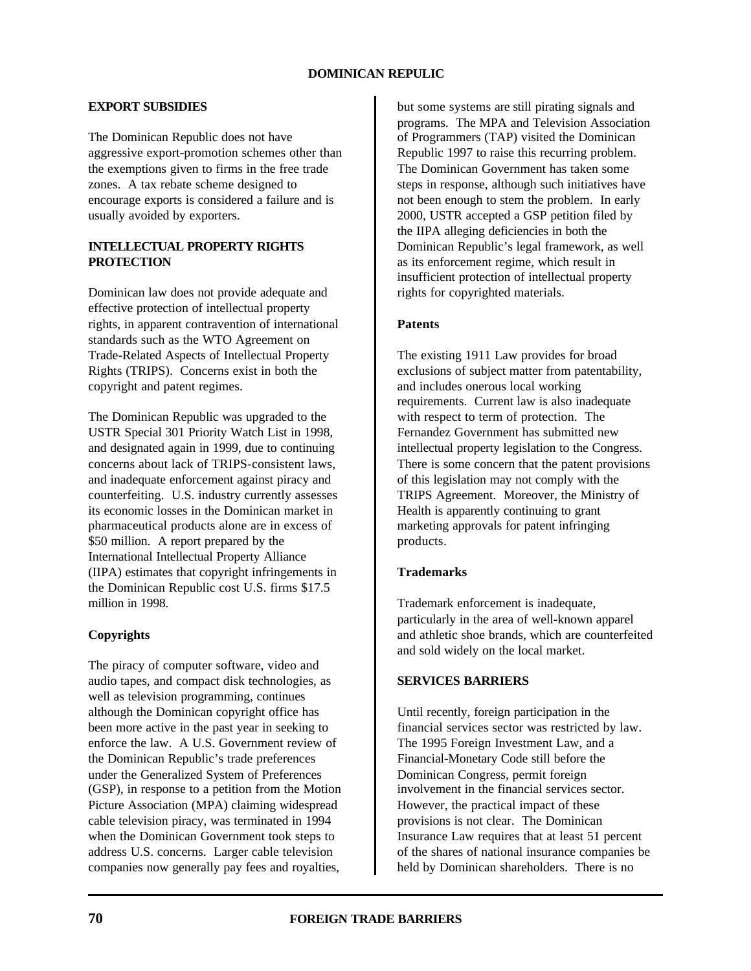# **EXPORT SUBSIDIES**

The Dominican Republic does not have aggressive export-promotion schemes other than the exemptions given to firms in the free trade zones. A tax rebate scheme designed to encourage exports is considered a failure and is usually avoided by exporters.

# **INTELLECTUAL PROPERTY RIGHTS PROTECTION**

Dominican law does not provide adequate and effective protection of intellectual property rights, in apparent contravention of international standards such as the WTO Agreement on Trade-Related Aspects of Intellectual Property Rights (TRIPS). Concerns exist in both the copyright and patent regimes.

The Dominican Republic was upgraded to the USTR Special 301 Priority Watch List in 1998, and designated again in 1999, due to continuing concerns about lack of TRIPS-consistent laws, and inadequate enforcement against piracy and counterfeiting. U.S. industry currently assesses its economic losses in the Dominican market in pharmaceutical products alone are in excess of \$50 million. A report prepared by the International Intellectual Property Alliance (IIPA) estimates that copyright infringements in the Dominican Republic cost U.S. firms \$17.5 million in 1998.

# **Copyrights**

The piracy of computer software, video and audio tapes, and compact disk technologies, as well as television programming, continues although the Dominican copyright office has been more active in the past year in seeking to enforce the law. A U.S. Government review of the Dominican Republic's trade preferences under the Generalized System of Preferences (GSP), in response to a petition from the Motion Picture Association (MPA) claiming widespread cable television piracy, was terminated in 1994 when the Dominican Government took steps to address U.S. concerns. Larger cable television companies now generally pay fees and royalties,

but some systems are still pirating signals and programs. The MPA and Television Association of Programmers (TAP) visited the Dominican Republic 1997 to raise this recurring problem. The Dominican Government has taken some steps in response, although such initiatives have not been enough to stem the problem. In early 2000, USTR accepted a GSP petition filed by the IIPA alleging deficiencies in both the Dominican Republic's legal framework, as well as its enforcement regime, which result in insufficient protection of intellectual property rights for copyrighted materials.

# **Patents**

The existing 1911 Law provides for broad exclusions of subject matter from patentability, and includes onerous local working requirements. Current law is also inadequate with respect to term of protection. The Fernandez Government has submitted new intellectual property legislation to the Congress. There is some concern that the patent provisions of this legislation may not comply with the TRIPS Agreement. Moreover, the Ministry of Health is apparently continuing to grant marketing approvals for patent infringing products.

# **Trademarks**

Trademark enforcement is inadequate, particularly in the area of well-known apparel and athletic shoe brands, which are counterfeited and sold widely on the local market.

# **SERVICES BARRIERS**

Until recently, foreign participation in the financial services sector was restricted by law. The 1995 Foreign Investment Law, and a Financial-Monetary Code still before the Dominican Congress, permit foreign involvement in the financial services sector. However, the practical impact of these provisions is not clear. The Dominican Insurance Law requires that at least 51 percent of the shares of national insurance companies be held by Dominican shareholders. There is no